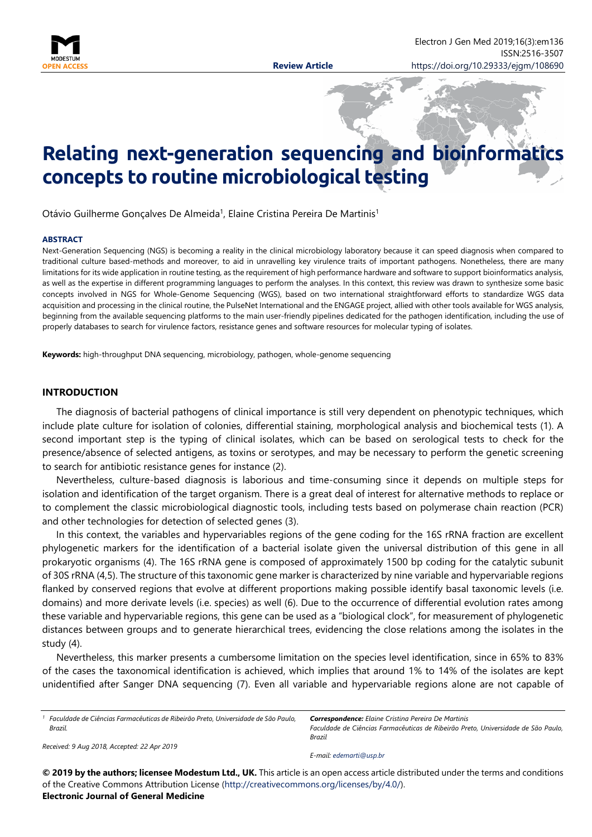

# **Relating next-generation sequencing and bioinformatics concepts to routine microbiological testing**

Otávio Guilherme Gonçalves De Almeida<sup>1</sup>, Elaine Cristina Pereira De Martinis<sup>1</sup>

#### **ABSTRACT**

Next-Generation Sequencing (NGS) is becoming a reality in the clinical microbiology laboratory because it can speed diagnosis when compared to traditional culture based-methods and moreover, to aid in unravelling key virulence traits of important pathogens. Nonetheless, there are many limitations for its wide application in routine testing, as the requirement of high performance hardware and software to support bioinformatics analysis, as well as the expertise in different programming languages to perform the analyses. In this context, this review was drawn to synthesize some basic concepts involved in NGS for Whole-Genome Sequencing (WGS), based on two international straightforward efforts to standardize WGS data acquisition and processing in the clinical routine, the PulseNet International and the ENGAGE project, allied with other tools available for WGS analysis, beginning from the available sequencing platforms to the main user-friendly pipelines dedicated for the pathogen identification, including the use of properly databases to search for virulence factors, resistance genes and software resources for molecular typing of isolates.

**Keywords:** high-throughput DNA sequencing, microbiology, pathogen, whole-genome sequencing

#### **INTRODUCTION**

The diagnosis of bacterial pathogens of clinical importance is still very dependent on phenotypic techniques, which include plate culture for isolation of colonies, differential staining, morphological analysis and biochemical tests (1). A second important step is the typing of clinical isolates, which can be based on serological tests to check for the presence/absence of selected antigens, as toxins or serotypes, and may be necessary to perform the genetic screening to search for antibiotic resistance genes for instance (2).

Nevertheless, culture-based diagnosis is laborious and time-consuming since it depends on multiple steps for isolation and identification of the target organism. There is a great deal of interest for alternative methods to replace or to complement the classic microbiological diagnostic tools, including tests based on polymerase chain reaction (PCR) and other technologies for detection of selected genes (3).

In this context, the variables and hypervariables regions of the gene coding for the 16S rRNA fraction are excellent phylogenetic markers for the identification of a bacterial isolate given the universal distribution of this gene in all prokaryotic organisms (4). The 16S rRNA gene is composed of approximately 1500 bp coding for the catalytic subunit of 30S rRNA (4,5). The structure of this taxonomic gene marker is characterized by nine variable and hypervariable regions flanked by conserved regions that evolve at different proportions making possible identify basal taxonomic levels (i.e. domains) and more derivate levels (i.e. species) as well (6). Due to the occurrence of differential evolution rates among these variable and hypervariable regions, this gene can be used as a "biological clock", for measurement of phylogenetic distances between groups and to generate hierarchical trees, evidencing the close relations among the isolates in the study (4).

Nevertheless, this marker presents a cumbersome limitation on the species level identification, since in 65% to 83% of the cases the taxonomical identification is achieved, which implies that around 1% to 14% of the isolates are kept unidentified after Sanger DNA sequencing (7). Even all variable and hypervariable regions alone are not capable of

*<sup>1</sup> Faculdade de Ciências Farmacêuticas de Ribeirão Preto, Universidade de São Paulo, Brazil.*

*Received: 9 Aug 2018, Accepted: 22 Apr 2019*

*Correspondence: Elaine Cristina Pereira De Martinis Faculdade de Ciências Farmacêuticas de Ribeirão Preto, Universidade de São Paulo, Brazil*

*E-mail: [edemarti@usp.br](mailto:edemarti@usp.br)*

**© 2019 by the authors; licensee Modestum Ltd., UK.** This article is an open access article distributed under the terms and conditions of the Creative Commons Attribution License [\(http://creativecommons.org/licenses/by/4.0/\)](http://creativecommons.org/licenses/by/4.0/). **Electronic Journal of General Medicine**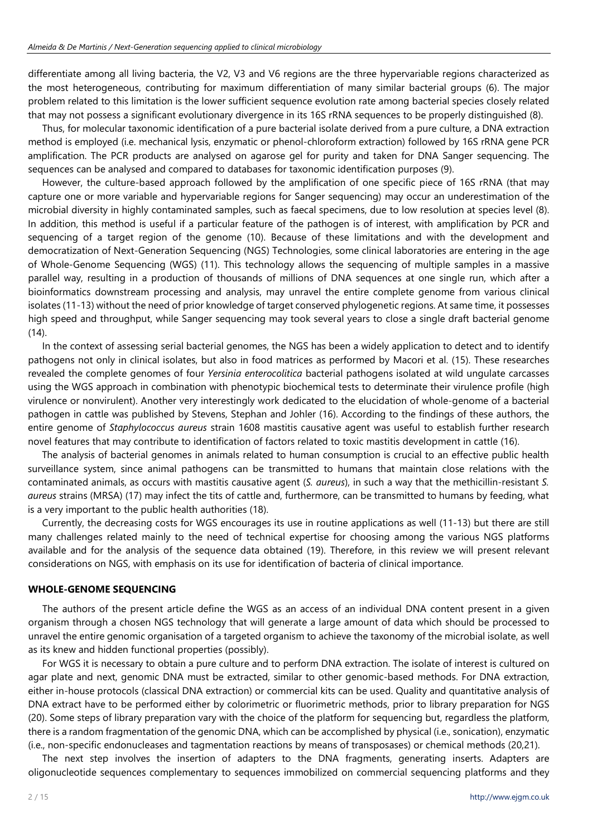differentiate among all living bacteria, the V2, V3 and V6 regions are the three hypervariable regions characterized as the most heterogeneous, contributing for maximum differentiation of many similar bacterial groups (6). The major problem related to this limitation is the lower sufficient sequence evolution rate among bacterial species closely related that may not possess a significant evolutionary divergence in its 16S rRNA sequences to be properly distinguished (8).

Thus, for molecular taxonomic identification of a pure bacterial isolate derived from a pure culture, a DNA extraction method is employed (i.e. mechanical lysis, enzymatic or phenol-chloroform extraction) followed by 16S rRNA gene PCR amplification. The PCR products are analysed on agarose gel for purity and taken for DNA Sanger sequencing. The sequences can be analysed and compared to databases for taxonomic identification purposes (9).

However, the culture-based approach followed by the amplification of one specific piece of 16S rRNA (that may capture one or more variable and hypervariable regions for Sanger sequencing) may occur an underestimation of the microbial diversity in highly contaminated samples, such as faecal specimens, due to low resolution at species level (8). In addition, this method is useful if a particular feature of the pathogen is of interest, with amplification by PCR and sequencing of a target region of the genome (10). Because of these limitations and with the development and democratization of Next-Generation Sequencing (NGS) Technologies, some clinical laboratories are entering in the age of Whole-Genome Sequencing (WGS) (11). This technology allows the sequencing of multiple samples in a massive parallel way, resulting in a production of thousands of millions of DNA sequences at one single run, which after a bioinformatics downstream processing and analysis, may unravel the entire complete genome from various clinical isolates (11-13) without the need of prior knowledge of target conserved phylogenetic regions. At same time, it possesses high speed and throughput, while Sanger sequencing may took several years to close a single draft bacterial genome  $(14)$ .

In the context of assessing serial bacterial genomes, the NGS has been a widely application to detect and to identify pathogens not only in clinical isolates, but also in food matrices as performed by Macori et al. (15). These researches revealed the complete genomes of four *Yersinia enterocolitica* bacterial pathogens isolated at wild ungulate carcasses using the WGS approach in combination with phenotypic biochemical tests to determinate their virulence profile (high virulence or nonvirulent). Another very interestingly work dedicated to the elucidation of whole-genome of a bacterial pathogen in cattle was published by Stevens, Stephan and Johler (16). According to the findings of these authors, the entire genome of *Staphylococcus aureus* strain 1608 mastitis causative agent was useful to establish further research novel features that may contribute to identification of factors related to toxic mastitis development in cattle (16).

The analysis of bacterial genomes in animals related to human consumption is crucial to an effective public health surveillance system, since animal pathogens can be transmitted to humans that maintain close relations with the contaminated animals, as occurs with mastitis causative agent (*S. aureus*), in such a way that the methicillin-resistant *S. aureus* strains (MRSA) (17) may infect the tits of cattle and, furthermore, can be transmitted to humans by feeding, what is a very important to the public health authorities (18).

Currently, the decreasing costs for WGS encourages its use in routine applications as well (11-13) but there are still many challenges related mainly to the need of technical expertise for choosing among the various NGS platforms available and for the analysis of the sequence data obtained (19). Therefore, in this review we will present relevant considerations on NGS, with emphasis on its use for identification of bacteria of clinical importance.

#### **WHOLE-GENOME SEQUENCING**

The authors of the present article define the WGS as an access of an individual DNA content present in a given organism through a chosen NGS technology that will generate a large amount of data which should be processed to unravel the entire genomic organisation of a targeted organism to achieve the taxonomy of the microbial isolate, as well as its knew and hidden functional properties (possibly).

For WGS it is necessary to obtain a pure culture and to perform DNA extraction. The isolate of interest is cultured on agar plate and next, genomic DNA must be extracted, similar to other genomic-based methods. For DNA extraction, either in-house protocols (classical DNA extraction) or commercial kits can be used. Quality and quantitative analysis of DNA extract have to be performed either by colorimetric or fluorimetric methods, prior to library preparation for NGS (20). Some steps of library preparation vary with the choice of the platform for sequencing but, regardless the platform, there is a random fragmentation of the genomic DNA, which can be accomplished by physical (i.e., sonication), enzymatic (i.e., non-specific endonucleases and tagmentation reactions by means of transposases) or chemical methods (20,21).

The next step involves the insertion of adapters to the DNA fragments, generating inserts. Adapters are oligonucleotide sequences complementary to sequences immobilized on commercial sequencing platforms and they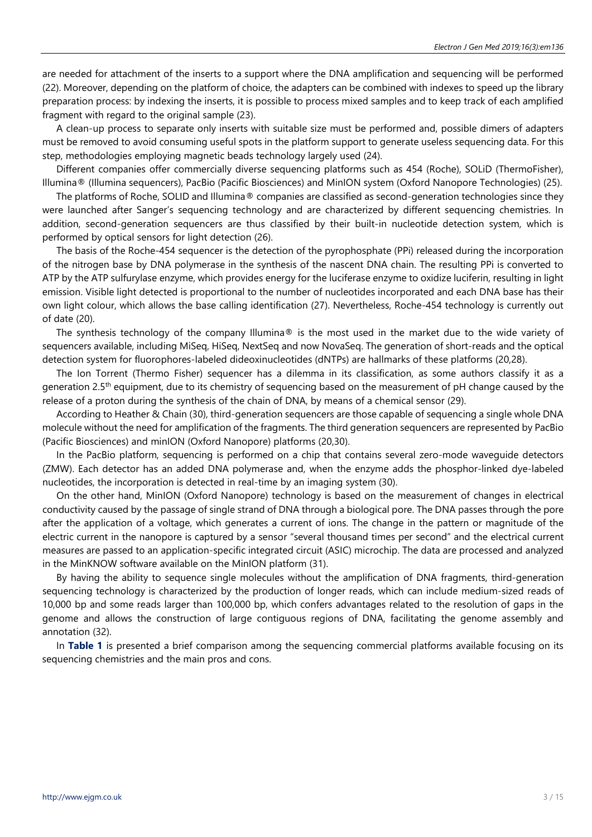are needed for attachment of the inserts to a support where the DNA amplification and sequencing will be performed (22). Moreover, depending on the platform of choice, the adapters can be combined with indexes to speed up the library preparation process: by indexing the inserts, it is possible to process mixed samples and to keep track of each amplified fragment with regard to the original sample (23).

A clean-up process to separate only inserts with suitable size must be performed and, possible dimers of adapters must be removed to avoid consuming useful spots in the platform support to generate useless sequencing data. For this step, methodologies employing magnetic beads technology largely used (24).

Different companies offer commercially diverse sequencing platforms such as 454 (Roche), SOLiD (ThermoFisher), Illumina® (Illumina sequencers), PacBio (Pacific Biosciences) and MinION system (Oxford Nanopore Technologies) (25).

The platforms of Roche, SOLID and Illumina® companies are classified as second-generation technologies since they were launched after Sanger's sequencing technology and are characterized by different sequencing chemistries. In addition, second-generation sequencers are thus classified by their built-in nucleotide detection system, which is performed by optical sensors for light detection (26).

The basis of the Roche-454 sequencer is the detection of the pyrophosphate (PPi) released during the incorporation of the nitrogen base by DNA polymerase in the synthesis of the nascent DNA chain. The resulting PPi is converted to ATP by the ATP sulfurylase enzyme, which provides energy for the luciferase enzyme to oxidize luciferin, resulting in light emission. Visible light detected is proportional to the number of nucleotides incorporated and each DNA base has their own light colour, which allows the base calling identification (27). Nevertheless, Roche-454 technology is currently out of date (20).

The synthesis technology of the company Illumina® is the most used in the market due to the wide variety of sequencers available, including MiSeq, HiSeq, NextSeq and now NovaSeq. The generation of short-reads and the optical detection system for fluorophores-labeled dideoxinucleotides (dNTPs) are hallmarks of these platforms (20,28).

The Ion Torrent (Thermo Fisher) sequencer has a dilemma in its classification, as some authors classify it as a generation 2.5<sup>th</sup> equipment, due to its chemistry of sequencing based on the measurement of pH change caused by the release of a proton during the synthesis of the chain of DNA, by means of a chemical sensor (29).

According to Heather & Chain (30), third-generation sequencers are those capable of sequencing a single whole DNA molecule without the need for amplification of the fragments. The third generation sequencers are represented by PacBio (Pacific Biosciences) and minION (Oxford Nanopore) platforms (20,30).

In the PacBio platform, sequencing is performed on a chip that contains several zero-mode waveguide detectors (ZMW). Each detector has an added DNA polymerase and, when the enzyme adds the phosphor-linked dye-labeled nucleotides, the incorporation is detected in real-time by an imaging system (30).

On the other hand, MinION (Oxford Nanopore) technology is based on the measurement of changes in electrical conductivity caused by the passage of single strand of DNA through a biological pore. The DNA passes through the pore after the application of a voltage, which generates a current of ions. The change in the pattern or magnitude of the electric current in the nanopore is captured by a sensor "several thousand times per second" and the electrical current measures are passed to an application-specific integrated circuit (ASIC) microchip. The data are processed and analyzed in the MinKNOW software available on the MinION platform (31).

By having the ability to sequence single molecules without the amplification of DNA fragments, third-generation sequencing technology is characterized by the production of longer reads, which can include medium-sized reads of 10,000 bp and some reads larger than 100,000 bp, which confers advantages related to the resolution of gaps in the genome and allows the construction of large contiguous regions of DNA, facilitating the genome assembly and annotation (32).

In **Table 1** is presented a brief comparison among the sequencing commercial platforms available focusing on its sequencing chemistries and the main pros and cons.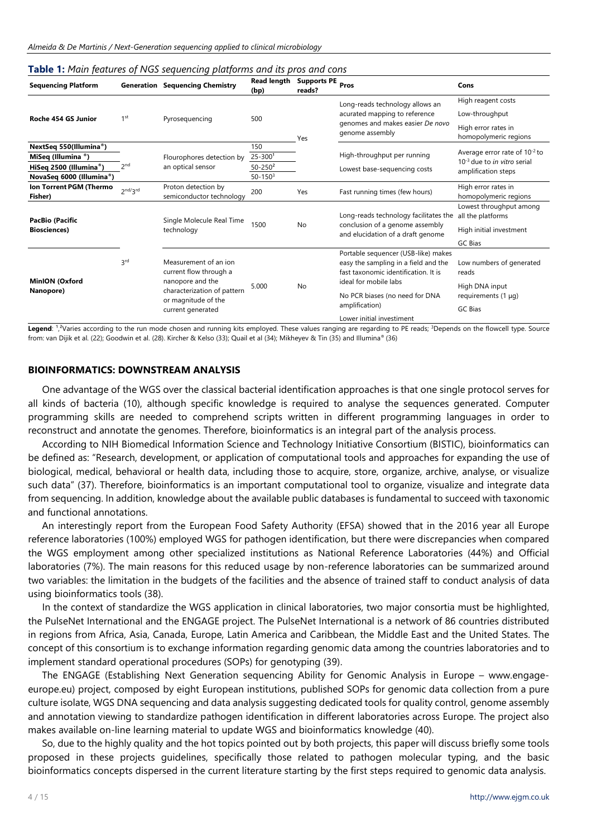| <b>Sequencing Platform</b>              |                 | <b>Generation Sequencing Chemistry</b>                                                                                                         | <b>Read length</b><br>(bp) | <b>Supports PE</b><br>reads? | Pros                                                                                                                                         | Cons                                                                                          |
|-----------------------------------------|-----------------|------------------------------------------------------------------------------------------------------------------------------------------------|----------------------------|------------------------------|----------------------------------------------------------------------------------------------------------------------------------------------|-----------------------------------------------------------------------------------------------|
| Roche 454 GS Junior                     | 1 <sup>st</sup> | Pyrosequencing                                                                                                                                 | 500                        | Yes                          | Long-reads technology allows an<br>acurated mapping to reference<br>genomes and makes easier De novo<br>genome assembly                      | High reagent costs                                                                            |
|                                         |                 |                                                                                                                                                |                            |                              |                                                                                                                                              | Low-throughput                                                                                |
|                                         |                 |                                                                                                                                                |                            |                              |                                                                                                                                              | High error rates in<br>homopolymeric regions                                                  |
| NextSeq 550(Illumina®)                  | 2 <sub>nd</sub> | Flourophores detection by<br>an optical sensor                                                                                                 | 150                        |                              | High-throughput per running                                                                                                                  | Average error rate of $10^{-2}$ to<br>$10^{-3}$ due to in vitro serial<br>amplification steps |
| MiSeq (Illumina <sup>®</sup> )          |                 |                                                                                                                                                | $25 - 3001$                |                              |                                                                                                                                              |                                                                                               |
| HiSeq 2500 (Illumina®)                  |                 |                                                                                                                                                | $50 - 250^2$               |                              | Lowest base-sequencing costs                                                                                                                 |                                                                                               |
| NovaSeq 6000 (Illumina®)                |                 |                                                                                                                                                | $50 - 1503$                |                              |                                                                                                                                              |                                                                                               |
| Ion Torrent PGM (Thermo<br>Fisher)      | 2nd/2rd         | Proton detection by<br>semiconductor technology                                                                                                | 200                        | Yes                          | Fast running times (few hours)                                                                                                               | High error rates in<br>homopolymeric regions                                                  |
| PacBio (Pacific<br><b>Biosciences</b> ) |                 | Single Molecule Real Time<br>technology                                                                                                        | 1500                       | <b>No</b>                    | Long-reads technology facilitates the<br>conclusion of a genome assembly<br>and elucidation of a draft genome                                | Lowest throughput among<br>all the platforms                                                  |
|                                         |                 |                                                                                                                                                |                            |                              |                                                                                                                                              | High initial investment                                                                       |
|                                         |                 |                                                                                                                                                |                            |                              |                                                                                                                                              | GC Bias                                                                                       |
| <b>MinION (Oxford</b><br>Nanopore)      | 3 <sup>rd</sup> | Measurement of an ion<br>current flow through a<br>nanopore and the<br>characterization of pattern<br>or magnitude of the<br>current generated | 5.000                      | No                           | Portable sequencer (USB-like) makes<br>easy the sampling in a field and the<br>fast taxonomic identification. It is<br>ideal for mobile labs | Low numbers of generated<br>reads<br>High DNA input                                           |
|                                         |                 |                                                                                                                                                |                            |                              | No PCR biases (no need for DNA<br>amplification)                                                                                             | requirements $(1 \mu q)$<br><b>GC Bias</b>                                                    |
|                                         |                 |                                                                                                                                                |                            |                              | Lower initial investiment                                                                                                                    |                                                                                               |

#### **Table 1:** *Main features of NGS sequencing platforms and its pros and cons*

Legend: <sup>1</sup>,<sup>2</sup>Varies according to the run mode chosen and running kits employed. These values ranging are regarding to PE reads; <sup>3</sup>Depends on the flowcell type. Source from: van Dijik et al. (22); Goodwin et al. (28). Kircher & Kelso (33); Quail et al (34); Mikheyev & Tin (35) and Illumina® (36)

### **BIOINFORMATICS: DOWNSTREAM ANALYSIS**

One advantage of the WGS over the classical bacterial identification approaches is that one single protocol serves for all kinds of bacteria (10), although specific knowledge is required to analyse the sequences generated. Computer programming skills are needed to comprehend scripts written in different programming languages in order to reconstruct and annotate the genomes. Therefore, bioinformatics is an integral part of the analysis process.

According to NIH Biomedical Information Science and Technology Initiative Consortium (BISTIC), bioinformatics can be defined as: "Research, development, or application of computational tools and approaches for expanding the use of biological, medical, behavioral or health data, including those to acquire, store, organize, archive, analyse, or visualize such data" (37). Therefore, bioinformatics is an important computational tool to organize, visualize and integrate data from sequencing. In addition, knowledge about the available public databases is fundamental to succeed with taxonomic and functional annotations.

An interestingly report from the European Food Safety Authority (EFSA) showed that in the 2016 year all Europe reference laboratories (100%) employed WGS for pathogen identification, but there were discrepancies when compared the WGS employment among other specialized institutions as National Reference Laboratories (44%) and Official laboratories (7%). The main reasons for this reduced usage by non-reference laboratories can be summarized around two variables: the limitation in the budgets of the facilities and the absence of trained staff to conduct analysis of data using bioinformatics tools (38).

In the context of standardize the WGS application in clinical laboratories, two major consortia must be highlighted, the PulseNet International and the ENGAGE project. The PulseNet International is a network of 86 countries distributed in regions from Africa, Asia, Canada, Europe, Latin America and Caribbean, the Middle East and the United States. The concept of this consortium is to exchange information regarding genomic data among the countries laboratories and to implement standard operational procedures (SOPs) for genotyping (39).

The ENGAGE (Establishing Next Generation sequencing Ability for Genomic Analysis in Europe – www.engageeurope.eu) project, composed by eight European institutions, published SOPs for genomic data collection from a pure culture isolate, WGS DNA sequencing and data analysis suggesting dedicated tools for quality control, genome assembly and annotation viewing to standardize pathogen identification in different laboratories across Europe. The project also makes available on-line learning material to update WGS and bioinformatics knowledge (40).

So, due to the highly quality and the hot topics pointed out by both projects, this paper will discuss briefly some tools proposed in these projects guidelines, specifically those related to pathogen molecular typing, and the basic bioinformatics concepts dispersed in the current literature starting by the first steps required to genomic data analysis.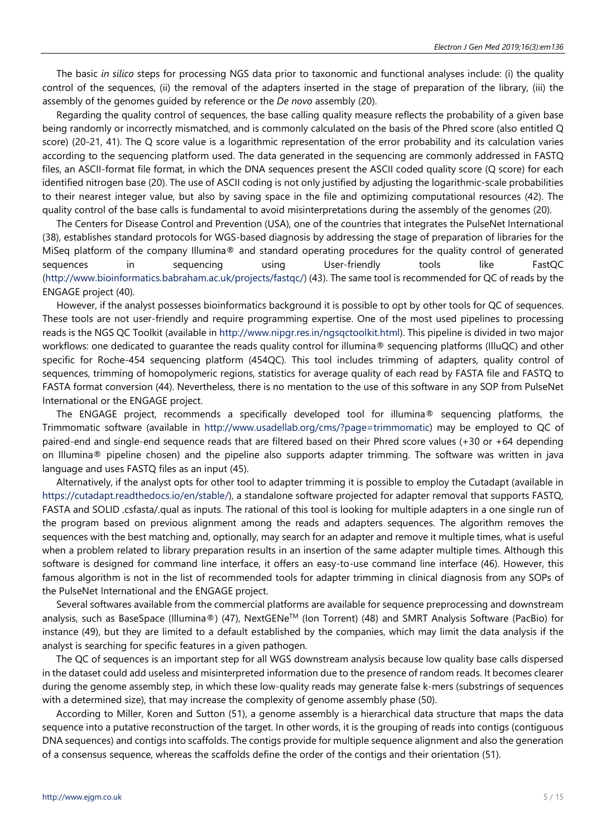The basic *in silico* steps for processing NGS data prior to taxonomic and functional analyses include: (i) the quality control of the sequences, (ii) the removal of the adapters inserted in the stage of preparation of the library, (iii) the assembly of the genomes guided by reference or the *De novo* assembly (20).

Regarding the quality control of sequences, the base calling quality measure reflects the probability of a given base being randomly or incorrectly mismatched, and is commonly calculated on the basis of the Phred score (also entitled Q score) (20-21, 41). The Q score value is a logarithmic representation of the error probability and its calculation varies according to the sequencing platform used. The data generated in the sequencing are commonly addressed in FASTQ files, an ASCII-format file format, in which the DNA sequences present the ASCII coded quality score (Q score) for each identified nitrogen base (20). The use of ASCII coding is not only justified by adjusting the logarithmic-scale probabilities to their nearest integer value, but also by saving space in the file and optimizing computational resources (42). The quality control of the base calls is fundamental to avoid misinterpretations during the assembly of the genomes (20).

The Centers for Disease Control and Prevention (USA), one of the countries that integrates the PulseNet International (38), establishes standard protocols for WGS-based diagnosis by addressing the stage of preparation of libraries for the MiSeq platform of the company Illumina® and standard operating procedures for the quality control of generated sequences in sequencing using User-friendly tools like FastQC [\(http://www.bioinformatics.babraham.ac.uk/projects/fastqc/\)](http://www.bioinformatics.babraham.ac.uk/projects/fastqc/) (43). The same tool is recommended for QC of reads by the ENGAGE project (40).

However, if the analyst possesses bioinformatics background it is possible to opt by other tools for QC of sequences. These tools are not user-friendly and require programming expertise. One of the most used pipelines to processing reads is the NGS QC Toolkit (available in [http://www.nipgr.res.in/ngsqctoolkit.html\)](http://www.nipgr.res.in/ngsqctoolkit.html). This pipeline is divided in two major workflows: one dedicated to quarantee the reads quality control for illumina® sequencing platforms (IlluQC) and other specific for Roche-454 sequencing platform (454QC). This tool includes trimming of adapters, quality control of sequences, trimming of homopolymeric regions, statistics for average quality of each read by FASTA file and FASTQ to FASTA format conversion (44). Nevertheless, there is no mentation to the use of this software in any SOP from PulseNet International or the ENGAGE project.

The ENGAGE project, recommends a specifically developed tool for illumina® sequencing platforms, the Trimmomatic software (available in [http://www.usadellab.org/cms/?page=trimmomatic\)](http://www.usadellab.org/cms/?page=trimmomatic) may be employed to QC of paired-end and single-end sequence reads that are filtered based on their Phred score values (+30 or +64 depending on Illumina® pipeline chosen) and the pipeline also supports adapter trimming. The software was written in java language and uses FASTQ files as an input (45).

Alternatively, if the analyst opts for other tool to adapter trimming it is possible to employ the Cutadapt (available in [https://cutadapt.readthedocs.io/en/stable/\)](https://cutadapt.readthedocs.io/en/stable/), a standalone software projected for adapter removal that supports FASTQ, FASTA and SOLID .csfasta/.qual as inputs. The rational of this tool is looking for multiple adapters in a one single run of the program based on previous alignment among the reads and adapters sequences. The algorithm removes the sequences with the best matching and, optionally, may search for an adapter and remove it multiple times, what is useful when a problem related to library preparation results in an insertion of the same adapter multiple times. Although this software is designed for command line interface, it offers an easy-to-use command line interface (46). However, this famous algorithm is not in the list of recommended tools for adapter trimming in clinical diagnosis from any SOPs of the PulseNet International and the ENGAGE project.

Several softwares available from the commercial platforms are available for sequence preprocessing and downstream analysis, such as BaseSpace (Illumina®) (47), NextGENeTM (Ion Torrent) (48) and SMRT Analysis Software (PacBio) for instance (49), but they are limited to a default established by the companies, which may limit the data analysis if the analyst is searching for specific features in a given pathogen.

The QC of sequences is an important step for all WGS downstream analysis because low quality base calls dispersed in the dataset could add useless and misinterpreted information due to the presence of random reads. It becomes clearer during the genome assembly step, in which these low-quality reads may generate false k-mers (substrings of sequences with a determined size), that may increase the complexity of genome assembly phase (50).

According to Miller, Koren and Sutton (51), a genome assembly is a hierarchical data structure that maps the data sequence into a putative reconstruction of the target. In other words, it is the grouping of reads into contigs (contiguous DNA sequences) and contigs into scaffolds. The contigs provide for multiple sequence alignment and also the generation of a consensus sequence, whereas the scaffolds define the order of the contigs and their orientation (51).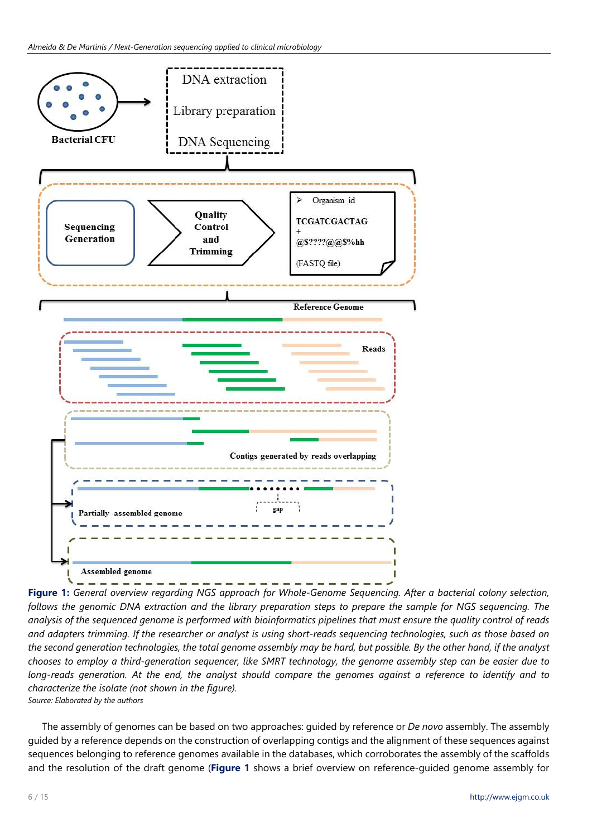

**Figure 1:** *General overview regarding NGS approach for Whole-Genome Sequencing. After a bacterial colony selection,* follows the genomic DNA extraction and the library preparation steps to prepare the sample for NGS sequencing. The analysis of the sequenced genome is performed with bioinformatics pipelines that must ensure the quality control of reads and adapters trimming. If the researcher or analyst is using short-reads sequencing technologies, such as those based on the second generation technologies, the total genome assembly may be hard, but possible. By the other hand, if the analyst chooses to employ a third-generation sequencer, like SMRT technology, the genome assembly step can be easier due to long-reads generation. At the end, the analyst should compare the genomes against a reference to identify and to *characterize the isolate (not shown in the figure). Source: Elaborated by the authors*

The assembly of genomes can be based on two approaches: guided by reference or *De novo* assembly. The assembly guided by a reference depends on the construction of overlapping contigs and the alignment of these sequences against sequences belonging to reference genomes available in the databases, which corroborates the assembly of the scaffolds and the resolution of the draft genome (**Figure 1** shows a brief overview on reference-guided genome assembly for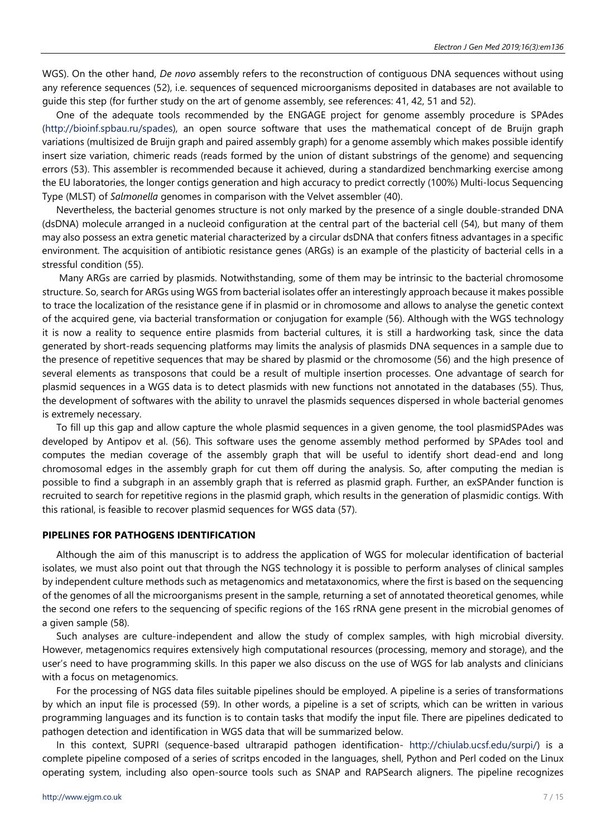WGS). On the other hand, *De novo* assembly refers to the reconstruction of contiguous DNA sequences without using any reference sequences (52), i.e. sequences of sequenced microorganisms deposited in databases are not available to guide this step (for further study on the art of genome assembly, see references: 41, 42, 51 and 52).

One of the adequate tools recommended by the ENGAGE project for genome assembly procedure is SPAdes [\(http://bioinf.spbau.ru/spades\)](http://bioinf.spbau.ru/spades), an open source software that uses the mathematical concept of de Bruijn graph variations (multisized de Bruijn graph and paired assembly graph) for a genome assembly which makes possible identify insert size variation, chimeric reads (reads formed by the union of distant substrings of the genome) and sequencing errors (53). This assembler is recommended because it achieved, during a standardized benchmarking exercise among the EU laboratories, the longer contigs generation and high accuracy to predict correctly (100%) Multi-locus Sequencing Type (MLST) of *Salmonella* genomes in comparison with the Velvet assembler (40).

Nevertheless, the bacterial genomes structure is not only marked by the presence of a single double-stranded DNA (dsDNA) molecule arranged in a nucleoid configuration at the central part of the bacterial cell (54), but many of them may also possess an extra genetic material characterized by a circular dsDNA that confers fitness advantages in a specific environment. The acquisition of antibiotic resistance genes (ARGs) is an example of the plasticity of bacterial cells in a stressful condition (55).

Many ARGs are carried by plasmids. Notwithstanding, some of them may be intrinsic to the bacterial chromosome structure. So, search for ARGs using WGS from bacterial isolates offer an interestingly approach because it makes possible to trace the localization of the resistance gene if in plasmid or in chromosome and allows to analyse the genetic context of the acquired gene, via bacterial transformation or conjugation for example (56). Although with the WGS technology it is now a reality to sequence entire plasmids from bacterial cultures, it is still a hardworking task, since the data generated by short-reads sequencing platforms may limits the analysis of plasmids DNA sequences in a sample due to the presence of repetitive sequences that may be shared by plasmid or the chromosome (56) and the high presence of several elements as transposons that could be a result of multiple insertion processes. One advantage of search for plasmid sequences in a WGS data is to detect plasmids with new functions not annotated in the databases (55). Thus, the development of softwares with the ability to unravel the plasmids sequences dispersed in whole bacterial genomes is extremely necessary.

To fill up this gap and allow capture the whole plasmid sequences in a given genome, the tool plasmidSPAdes was developed by Antipov et al. (56). This software uses the genome assembly method performed by SPAdes tool and computes the median coverage of the assembly graph that will be useful to identify short dead-end and long chromosomal edges in the assembly graph for cut them off during the analysis. So, after computing the median is possible to find a subgraph in an assembly graph that is referred as plasmid graph. Further, an exSPAnder function is recruited to search for repetitive regions in the plasmid graph, which results in the generation of plasmidic contigs. With this rational, is feasible to recover plasmid sequences for WGS data (57).

## **PIPELINES FOR PATHOGENS IDENTIFICATION**

Although the aim of this manuscript is to address the application of WGS for molecular identification of bacterial isolates, we must also point out that through the NGS technology it is possible to perform analyses of clinical samples by independent culture methods such as metagenomics and metataxonomics, where the first is based on the sequencing of the genomes of all the microorganisms present in the sample, returning a set of annotated theoretical genomes, while the second one refers to the sequencing of specific regions of the 16S rRNA gene present in the microbial genomes of a given sample (58).

Such analyses are culture-independent and allow the study of complex samples, with high microbial diversity. However, metagenomics requires extensively high computational resources (processing, memory and storage), and the user's need to have programming skills. In this paper we also discuss on the use of WGS for lab analysts and clinicians with a focus on metagenomics.

For the processing of NGS data files suitable pipelines should be employed. A pipeline is a series of transformations by which an input file is processed (59). In other words, a pipeline is a set of scripts, which can be written in various programming languages and its function is to contain tasks that modify the input file. There are pipelines dedicated to pathogen detection and identification in WGS data that will be summarized below.

In this context, SUPRI (sequence-based ultrarapid pathogen identification- [http://chiulab.ucsf.edu/surpi/\)](http://chiulab.ucsf.edu/surpi/) is a complete pipeline composed of a series of scritps encoded in the languages, shell, Python and Perl coded on the Linux operating system, including also open-source tools such as SNAP and RAPSearch aligners. The pipeline recognizes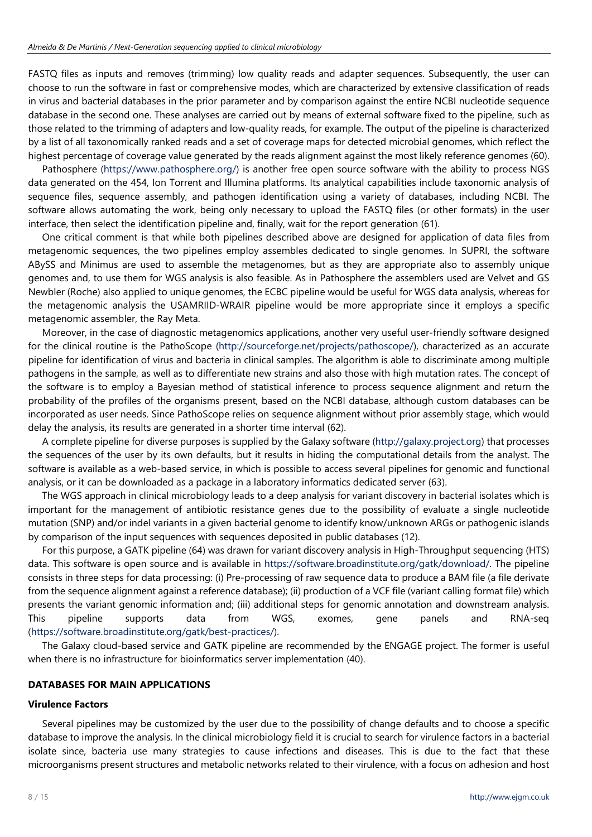FASTQ files as inputs and removes (trimming) low quality reads and adapter sequences. Subsequently, the user can choose to run the software in fast or comprehensive modes, which are characterized by extensive classification of reads in virus and bacterial databases in the prior parameter and by comparison against the entire NCBI nucleotide sequence database in the second one. These analyses are carried out by means of external software fixed to the pipeline, such as those related to the trimming of adapters and low-quality reads, for example. The output of the pipeline is characterized by a list of all taxonomically ranked reads and a set of coverage maps for detected microbial genomes, which reflect the highest percentage of coverage value generated by the reads alignment against the most likely reference genomes (60).

Pathosphere [\(https://www.pathosphere.org/\)](https://www.pathosphere.org/) is another free open source software with the ability to process NGS data generated on the 454, Ion Torrent and Illumina platforms. Its analytical capabilities include taxonomic analysis of sequence files, sequence assembly, and pathogen identification using a variety of databases, including NCBI. The software allows automating the work, being only necessary to upload the FASTQ files (or other formats) in the user interface, then select the identification pipeline and, finally, wait for the report generation (61).

One critical comment is that while both pipelines described above are designed for application of data files from metagenomic sequences, the two pipelines employ assembles dedicated to single genomes. In SUPRI, the software ABySS and Minimus are used to assemble the metagenomes, but as they are appropriate also to assembly unique genomes and, to use them for WGS analysis is also feasible. As in Pathosphere the assemblers used are Velvet and GS Newbler (Roche) also applied to unique genomes, the ECBC pipeline would be useful for WGS data analysis, whereas for the metagenomic analysis the USAMRIID-WRAIR pipeline would be more appropriate since it employs a specific metagenomic assembler, the Ray Meta.

Moreover, in the case of diagnostic metagenomics applications, another very useful user-friendly software designed for the clinical routine is the PathoScope [\(http://sourceforge.net/projects/pathoscope/\)](http://sourceforge.net/projects/pathoscope/), characterized as an accurate pipeline for identification of virus and bacteria in clinical samples. The algorithm is able to discriminate among multiple pathogens in the sample, as well as to differentiate new strains and also those with high mutation rates. The concept of the software is to employ a Bayesian method of statistical inference to process sequence alignment and return the probability of the profiles of the organisms present, based on the NCBI database, although custom databases can be incorporated as user needs. Since PathoScope relies on sequence alignment without prior assembly stage, which would delay the analysis, its results are generated in a shorter time interval (62).

A complete pipeline for diverse purposes is supplied by the Galaxy software [\(http://galaxy.project.org\)](http://galaxy.project.org/) that processes the sequences of the user by its own defaults, but it results in hiding the computational details from the analyst. The software is available as a web-based service, in which is possible to access several pipelines for genomic and functional analysis, or it can be downloaded as a package in a laboratory informatics dedicated server (63).

The WGS approach in clinical microbiology leads to a deep analysis for variant discovery in bacterial isolates which is important for the management of antibiotic resistance genes due to the possibility of evaluate a single nucleotide mutation (SNP) and/or indel variants in a given bacterial genome to identify know/unknown ARGs or pathogenic islands by comparison of the input sequences with sequences deposited in public databases (12).

For this purpose, a GATK pipeline (64) was drawn for variant discovery analysis in High-Throughput sequencing (HTS) data. This software is open source and is available in [https://software.broadinstitute.org/gatk/download/.](https://software.broadinstitute.org/gatk/download/) The pipeline consists in three steps for data processing: (i) Pre-processing of raw sequence data to produce a BAM file (a file derivate from the sequence alignment against a reference database); (ii) production of a VCF file (variant calling format file) which presents the variant genomic information and; (iii) additional steps for genomic annotation and downstream analysis. This pipeline supports data from WGS, exomes, gene panels and RNA-seq [\(https://software.broadinstitute.org/gatk/best-practices/\)](https://software.broadinstitute.org/gatk/best-practices/).

The Galaxy cloud-based service and GATK pipeline are recommended by the ENGAGE project. The former is useful when there is no infrastructure for bioinformatics server implementation (40).

# **DATABASES FOR MAIN APPLICATIONS**

#### **Virulence Factors**

Several pipelines may be customized by the user due to the possibility of change defaults and to choose a specific database to improve the analysis. In the clinical microbiology field it is crucial to search for virulence factors in a bacterial isolate since, bacteria use many strategies to cause infections and diseases. This is due to the fact that these microorganisms present structures and metabolic networks related to their virulence, with a focus on adhesion and host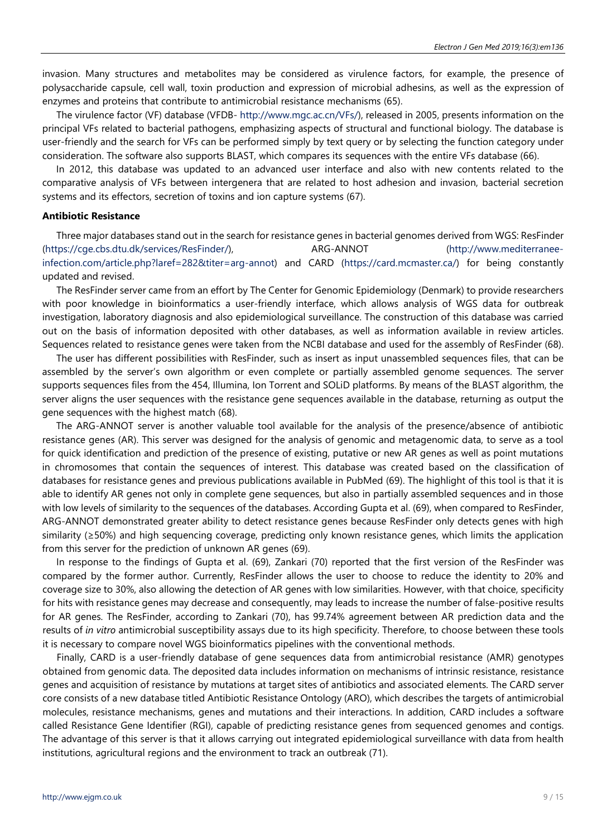invasion. Many structures and metabolites may be considered as virulence factors, for example, the presence of polysaccharide capsule, cell wall, toxin production and expression of microbial adhesins, as well as the expression of enzymes and proteins that contribute to antimicrobial resistance mechanisms (65).

The virulence factor (VF) database (VFDB- [http://www.mgc.ac.cn/VFs/\)](http://www.mgc.ac.cn/VFs/), released in 2005, presents information on the principal VFs related to bacterial pathogens, emphasizing aspects of structural and functional biology. The database is user-friendly and the search for VFs can be performed simply by text query or by selecting the function category under consideration. The software also supports BLAST, which compares its sequences with the entire VFs database (66).

In 2012, this database was updated to an advanced user interface and also with new contents related to the comparative analysis of VFs between intergenera that are related to host adhesion and invasion, bacterial secretion systems and its effectors, secretion of toxins and ion capture systems (67).

#### **Antibiotic Resistance**

Three major databases stand out in the search for resistance genes in bacterial genomes derived from WGS: ResFinder [\(https://cge.cbs.dtu.dk/services/ResFinder/\)](https://cge.cbs.dtu.dk/services/ResFinder/), ARG-ANNOT [\(http://www.mediterranee](http://www.mediterranee-infection.com/article.php?laref=282&titer=arg-annot)[infection.com/article.php?laref=282&titer=arg-annot\)](http://www.mediterranee-infection.com/article.php?laref=282&titer=arg-annot) and CARD [\(https://card.mcmaster.ca/\)](https://card.mcmaster.ca/) for being constantly updated and revised.

The ResFinder server came from an effort by The Center for Genomic Epidemiology (Denmark) to provide researchers with poor knowledge in bioinformatics a user-friendly interface, which allows analysis of WGS data for outbreak investigation, laboratory diagnosis and also epidemiological surveillance. The construction of this database was carried out on the basis of information deposited with other databases, as well as information available in review articles. Sequences related to resistance genes were taken from the NCBI database and used for the assembly of ResFinder (68).

The user has different possibilities with ResFinder, such as insert as input unassembled sequences files, that can be assembled by the server's own algorithm or even complete or partially assembled genome sequences. The server supports sequences files from the 454, Illumina, Ion Torrent and SOLiD platforms. By means of the BLAST algorithm, the server aligns the user sequences with the resistance gene sequences available in the database, returning as output the gene sequences with the highest match (68).

The ARG-ANNOT server is another valuable tool available for the analysis of the presence/absence of antibiotic resistance genes (AR). This server was designed for the analysis of genomic and metagenomic data, to serve as a tool for quick identification and prediction of the presence of existing, putative or new AR genes as well as point mutations in chromosomes that contain the sequences of interest. This database was created based on the classification of databases for resistance genes and previous publications available in PubMed (69). The highlight of this tool is that it is able to identify AR genes not only in complete gene sequences, but also in partially assembled sequences and in those with low levels of similarity to the sequences of the databases. According Gupta et al. (69), when compared to ResFinder, ARG-ANNOT demonstrated greater ability to detect resistance genes because ResFinder only detects genes with high similarity (≥50%) and high sequencing coverage, predicting only known resistance genes, which limits the application from this server for the prediction of unknown AR genes (69).

In response to the findings of Gupta et al. (69), Zankari (70) reported that the first version of the ResFinder was compared by the former author. Currently, ResFinder allows the user to choose to reduce the identity to 20% and coverage size to 30%, also allowing the detection of AR genes with low similarities. However, with that choice, specificity for hits with resistance genes may decrease and consequently, may leads to increase the number of false-positive results for AR genes. The ResFinder, according to Zankari (70), has 99.74% agreement between AR prediction data and the results of *in vitro* antimicrobial susceptibility assays due to its high specificity. Therefore, to choose between these tools it is necessary to compare novel WGS bioinformatics pipelines with the conventional methods.

Finally, CARD is a user-friendly database of gene sequences data from antimicrobial resistance (AMR) genotypes obtained from genomic data. The deposited data includes information on mechanisms of intrinsic resistance, resistance genes and acquisition of resistance by mutations at target sites of antibiotics and associated elements. The CARD server core consists of a new database titled Antibiotic Resistance Ontology (ARO), which describes the targets of antimicrobial molecules, resistance mechanisms, genes and mutations and their interactions. In addition, CARD includes a software called Resistance Gene Identifier (RGI), capable of predicting resistance genes from sequenced genomes and contigs. The advantage of this server is that it allows carrying out integrated epidemiological surveillance with data from health institutions, agricultural regions and the environment to track an outbreak (71).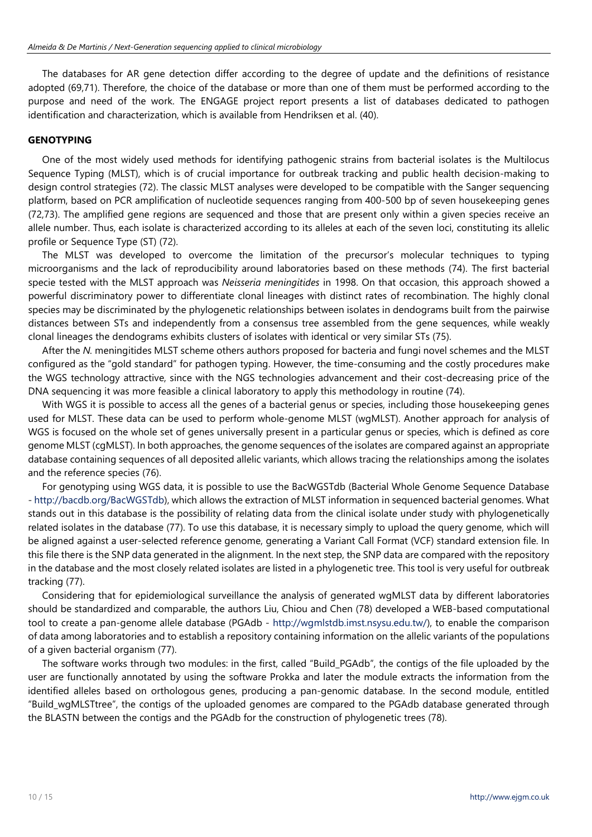The databases for AR gene detection differ according to the degree of update and the definitions of resistance adopted (69,71). Therefore, the choice of the database or more than one of them must be performed according to the purpose and need of the work. The ENGAGE project report presents a list of databases dedicated to pathogen identification and characterization, which is available from Hendriksen et al. (40).

# **GENOTYPING**

One of the most widely used methods for identifying pathogenic strains from bacterial isolates is the Multilocus Sequence Typing (MLST), which is of crucial importance for outbreak tracking and public health decision-making to design control strategies (72). The classic MLST analyses were developed to be compatible with the Sanger sequencing platform, based on PCR amplification of nucleotide sequences ranging from 400-500 bp of seven housekeeping genes (72,73). The amplified gene regions are sequenced and those that are present only within a given species receive an allele number. Thus, each isolate is characterized according to its alleles at each of the seven loci, constituting its allelic profile or Sequence Type (ST) (72).

The MLST was developed to overcome the limitation of the precursor's molecular techniques to typing microorganisms and the lack of reproducibility around laboratories based on these methods (74). The first bacterial specie tested with the MLST approach was *Neisseria meningitides* in 1998. On that occasion, this approach showed a powerful discriminatory power to differentiate clonal lineages with distinct rates of recombination. The highly clonal species may be discriminated by the phylogenetic relationships between isolates in dendograms built from the pairwise distances between STs and independently from a consensus tree assembled from the gene sequences, while weakly clonal lineages the dendograms exhibits clusters of isolates with identical or very similar STs (75).

After the *N.* meningitides MLST scheme others authors proposed for bacteria and fungi novel schemes and the MLST configured as the "gold standard" for pathogen typing. However, the time-consuming and the costly procedures make the WGS technology attractive, since with the NGS technologies advancement and their cost-decreasing price of the DNA sequencing it was more feasible a clinical laboratory to apply this methodology in routine (74).

With WGS it is possible to access all the genes of a bacterial genus or species, including those housekeeping genes used for MLST. These data can be used to perform whole-genome MLST (wgMLST). Another approach for analysis of WGS is focused on the whole set of genes universally present in a particular genus or species, which is defined as core genome MLST (cgMLST). In both approaches, the genome sequences of the isolates are compared against an appropriate database containing sequences of all deposited allelic variants, which allows tracing the relationships among the isolates and the reference species (76).

For genotyping using WGS data, it is possible to use the BacWGSTdb (Bacterial Whole Genome Sequence Database - [http://bacdb.org/BacWGSTdb\)](http://bacdb.org/BacWGSTdb), which allows the extraction of MLST information in sequenced bacterial genomes. What stands out in this database is the possibility of relating data from the clinical isolate under study with phylogenetically related isolates in the database (77). To use this database, it is necessary simply to upload the query genome, which will be aligned against a user-selected reference genome, generating a Variant Call Format (VCF) standard extension file. In this file there is the SNP data generated in the alignment. In the next step, the SNP data are compared with the repository in the database and the most closely related isolates are listed in a phylogenetic tree. This tool is very useful for outbreak tracking (77).

Considering that for epidemiological surveillance the analysis of generated wgMLST data by different laboratories should be standardized and comparable, the authors Liu, Chiou and Chen (78) developed a WEB-based computational tool to create a pan-genome allele database (PGAdb - [http://wgmlstdb.imst.nsysu.edu.tw/\)](http://wgmlstdb.imst.nsysu.edu.tw/), to enable the comparison of data among laboratories and to establish a repository containing information on the allelic variants of the populations of a given bacterial organism (77).

The software works through two modules: in the first, called "Build\_PGAdb", the contigs of the file uploaded by the user are functionally annotated by using the software Prokka and later the module extracts the information from the identified alleles based on orthologous genes, producing a pan-genomic database. In the second module, entitled "Build\_wgMLSTtree", the contigs of the uploaded genomes are compared to the PGAdb database generated through the BLASTN between the contigs and the PGAdb for the construction of phylogenetic trees (78).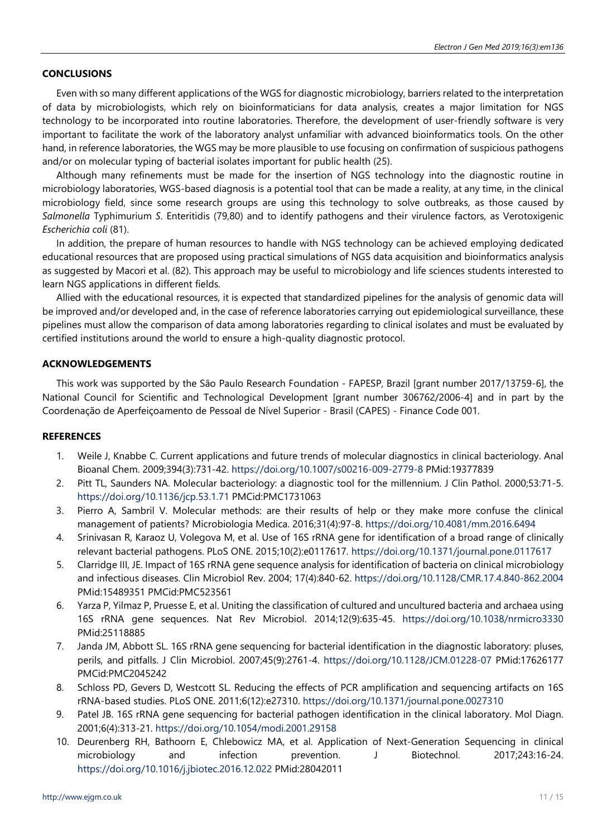# **CONCLUSIONS**

Even with so many different applications of the WGS for diagnostic microbiology, barriers related to the interpretation of data by microbiologists, which rely on bioinformaticians for data analysis, creates a major limitation for NGS technology to be incorporated into routine laboratories. Therefore, the development of user-friendly software is very important to facilitate the work of the laboratory analyst unfamiliar with advanced bioinformatics tools. On the other hand, in reference laboratories, the WGS may be more plausible to use focusing on confirmation of suspicious pathogens and/or on molecular typing of bacterial isolates important for public health (25).

Although many refinements must be made for the insertion of NGS technology into the diagnostic routine in microbiology laboratories, WGS-based diagnosis is a potential tool that can be made a reality, at any time, in the clinical microbiology field, since some research groups are using this technology to solve outbreaks, as those caused by *Salmonella* Typhimurium *S*. Enteritidis (79,80) and to identify pathogens and their virulence factors, as Verotoxigenic *Escherichia coli* (81).

In addition, the prepare of human resources to handle with NGS technology can be achieved employing dedicated educational resources that are proposed using practical simulations of NGS data acquisition and bioinformatics analysis as suggested by Macori et al. (82). This approach may be useful to microbiology and life sciences students interested to learn NGS applications in different fields.

Allied with the educational resources, it is expected that standardized pipelines for the analysis of genomic data will be improved and/or developed and, in the case of reference laboratories carrying out epidemiological surveillance, these pipelines must allow the comparison of data among laboratories regarding to clinical isolates and must be evaluated by certified institutions around the world to ensure a high-quality diagnostic protocol.

# **ACKNOWLEDGEMENTS**

This work was supported by the São Paulo Research Foundation - FAPESP, Brazil [grant number 2017/13759-6], the National Council for Scientific and Technological Development [grant number 306762/2006-4] and in part by the Coordenação de Aperfeiçoamento de Pessoal de Nível Superior - Brasil (CAPES) - Finance Code 001.

#### **REFERENCES**

- 1. Weile J, Knabbe C. Current applications and future trends of molecular diagnostics in clinical bacteriology. Anal Bioanal Chem. 2009;394(3):731-42. <https://doi.org/10.1007/s00216-009-2779-8> PMid:19377839
- 2. Pitt TL, Saunders NA. Molecular bacteriology: a diagnostic tool for the millennium. J Clin Pathol. 2000;53:71-5. <https://doi.org/10.1136/jcp.53.1.71> PMCid:PMC1731063
- 3. Pierro A, Sambril V. Molecular methods: are their results of help or they make more confuse the clinical management of patients? Microbiologia Medica. 2016;31(4):97-8. <https://doi.org/10.4081/mm.2016.6494>
- 4. Srinivasan R, Karaoz U, Volegova M, et al. Use of 16S rRNA gene for identification of a broad range of clinically relevant bacterial pathogens. PLoS ONE. 2015;10(2):e0117617. <https://doi.org/10.1371/journal.pone.0117617>
- 5. Clarridge III, JE. Impact of 16S rRNA gene sequence analysis for identification of bacteria on clinical microbiology and infectious diseases. Clin Microbiol Rev. 2004; 17(4):840-62. <https://doi.org/10.1128/CMR.17.4.840-862.2004> PMid:15489351 PMCid:PMC523561
- 6. Yarza P, Yilmaz P, Pruesse E, et al. Uniting the classification of cultured and uncultured bacteria and archaea using 16S rRNA gene sequences. Nat Rev Microbiol. 2014;12(9):635-45. <https://doi.org/10.1038/nrmicro3330> PMid:25118885
- 7. Janda JM, Abbott SL. 16S rRNA gene sequencing for bacterial identification in the diagnostic laboratory: pluses, perils, and pitfalls. J Clin Microbiol. 2007;45(9):2761-4. <https://doi.org/10.1128/JCM.01228-07> PMid:17626177 PMCid:PMC2045242
- 8. Schloss PD, Gevers D, Westcott SL. Reducing the effects of PCR amplification and sequencing artifacts on 16S rRNA-based studies. PLoS ONE. 2011;6(12):e27310. <https://doi.org/10.1371/journal.pone.0027310>
- 9. Patel JB. 16S rRNA gene sequencing for bacterial pathogen identification in the clinical laboratory. Mol Diagn. 2001;6(4):313-21. <https://doi.org/10.1054/modi.2001.29158>
- 10. Deurenberg RH, Bathoorn E, Chlebowicz MA, et al. Application of Next-Generation Sequencing in clinical microbiology and infection prevention. J Biotechnol. 2017;243:16-24. <https://doi.org/10.1016/j.jbiotec.2016.12.022> PMid:28042011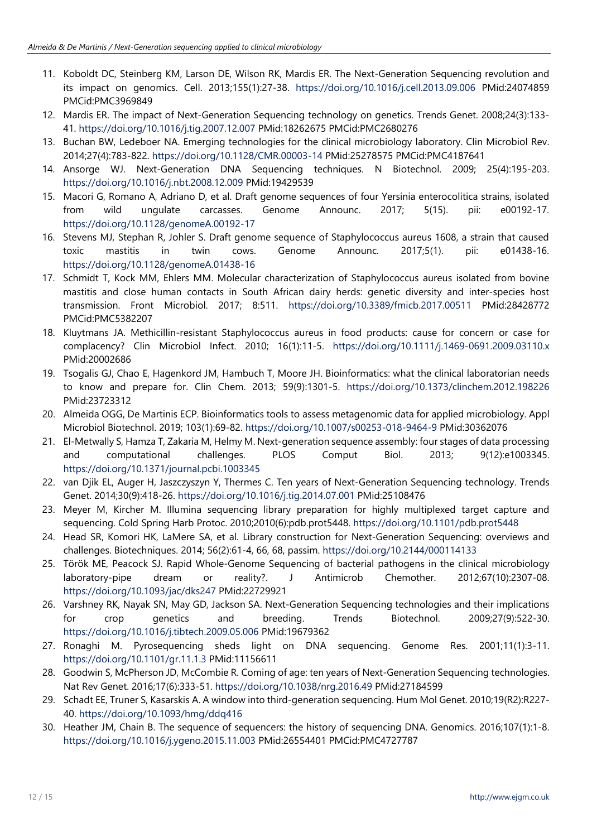- 11. Koboldt DC, Steinberg KM, Larson DE, Wilson RK, Mardis ER. The Next-Generation Sequencing revolution and its impact on genomics. Cell. 2013;155(1):27-38. <https://doi.org/10.1016/j.cell.2013.09.006> PMid:24074859 PMCid:PMC3969849
- 12. Mardis ER. The impact of Next-Generation Sequencing technology on genetics. Trends Genet. 2008;24(3):133- 41. <https://doi.org/10.1016/j.tig.2007.12.007> PMid:18262675 PMCid:PMC2680276
- 13. Buchan BW, Ledeboer NA. Emerging technologies for the clinical microbiology laboratory. Clin Microbiol Rev. 2014;27(4):783-822. <https://doi.org/10.1128/CMR.00003-14> PMid:25278575 PMCid:PMC4187641
- 14. Ansorge WJ. Next-Generation DNA Sequencing techniques. N Biotechnol. 2009; 25(4):195-203. <https://doi.org/10.1016/j.nbt.2008.12.009> PMid:19429539
- 15. Macori G, Romano A, Adriano D, et al. Draft genome sequences of four Yersinia enterocolitica strains, isolated from wild ungulate carcasses. Genome Announc. 2017; 5(15). pii: e00192-17. <https://doi.org/10.1128/genomeA.00192-17>
- 16. Stevens MJ, Stephan R, Johler S. Draft genome sequence of Staphylococcus aureus 1608, a strain that caused toxic mastitis in twin cows. Genome Announc. 2017;5(1). pii: e01438-16. <https://doi.org/10.1128/genomeA.01438-16>
- 17. Schmidt T, Kock MM, Ehlers MM. Molecular characterization of Staphylococcus aureus isolated from bovine mastitis and close human contacts in South African dairy herds: genetic diversity and inter-species host transmission. Front Microbiol. 2017; 8:511. <https://doi.org/10.3389/fmicb.2017.00511> PMid:28428772 PMCid:PMC5382207
- 18. Kluytmans JA. Methicillin-resistant Staphylococcus aureus in food products: cause for concern or case for complacency? Clin Microbiol Infect. 2010; 16(1):11-5. <https://doi.org/10.1111/j.1469-0691.2009.03110.x> PMid:20002686
- 19. Tsogalis GJ, Chao E, Hagenkord JM, Hambuch T, Moore JH. Bioinformatics: what the clinical laboratorian needs to know and prepare for. Clin Chem. 2013; 59(9):1301-5. <https://doi.org/10.1373/clinchem.2012.198226> PMid:23723312
- 20. Almeida OGG, De Martinis ECP. Bioinformatics tools to assess metagenomic data for applied microbiology. Appl Microbiol Biotechnol. 2019; 103(1):69-82. <https://doi.org/10.1007/s00253-018-9464-9> PMid:30362076
- 21. El-Metwally S, Hamza T, Zakaria M, Helmy M. Next-generation sequence assembly: four stages of data processing and computational challenges. PLOS Comput Biol. 2013; 9(12):e1003345. <https://doi.org/10.1371/journal.pcbi.1003345>
- 22. van Djik EL, Auger H, Jaszczyszyn Y, Thermes C. Ten years of Next-Generation Sequencing technology. Trends Genet. 2014;30(9):418-26. <https://doi.org/10.1016/j.tig.2014.07.001> PMid:25108476
- 23. Meyer M, Kircher M. Illumina sequencing library preparation for highly multiplexed target capture and sequencing. Cold Spring Harb Protoc. 2010;2010(6):pdb.prot5448. <https://doi.org/10.1101/pdb.prot5448>
- 24. Head SR, Komori HK, LaMere SA, et al. Library construction for Next-Generation Sequencing: overviews and challenges. Biotechniques. 2014; 56(2):61-4, 66, 68, passim. <https://doi.org/10.2144/000114133>
- 25. Török ME, Peacock SJ. Rapid Whole-Genome Sequencing of bacterial pathogens in the clinical microbiology laboratory-pipe dream or reality?. J Antimicrob Chemother. 2012;67(10):2307-08. <https://doi.org/10.1093/jac/dks247> PMid:22729921
- 26. Varshney RK, Nayak SN, May GD, Jackson SA. Next-Generation Sequencing technologies and their implications for crop genetics and breeding. Trends Biotechnol. 2009;27(9):522-30. <https://doi.org/10.1016/j.tibtech.2009.05.006> PMid:19679362
- 27. Ronaghi M. Pyrosequencing sheds light on DNA sequencing. Genome Res. 2001;11(1):3-11. <https://doi.org/10.1101/gr.11.1.3> PMid:11156611
- 28. Goodwin S, McPherson JD, McCombie R. Coming of age: ten years of Next-Generation Sequencing technologies. Nat Rev Genet. 2016;17(6):333-51. <https://doi.org/10.1038/nrg.2016.49> PMid:27184599
- 29. Schadt EE, Truner S, Kasarskis A. A window into third-generation sequencing. Hum Mol Genet. 2010;19(R2):R227- 40. <https://doi.org/10.1093/hmg/ddq416>
- 30. Heather JM, Chain B. The sequence of sequencers: the history of sequencing DNA. Genomics. 2016;107(1):1-8. <https://doi.org/10.1016/j.ygeno.2015.11.003> PMid:26554401 PMCid:PMC4727787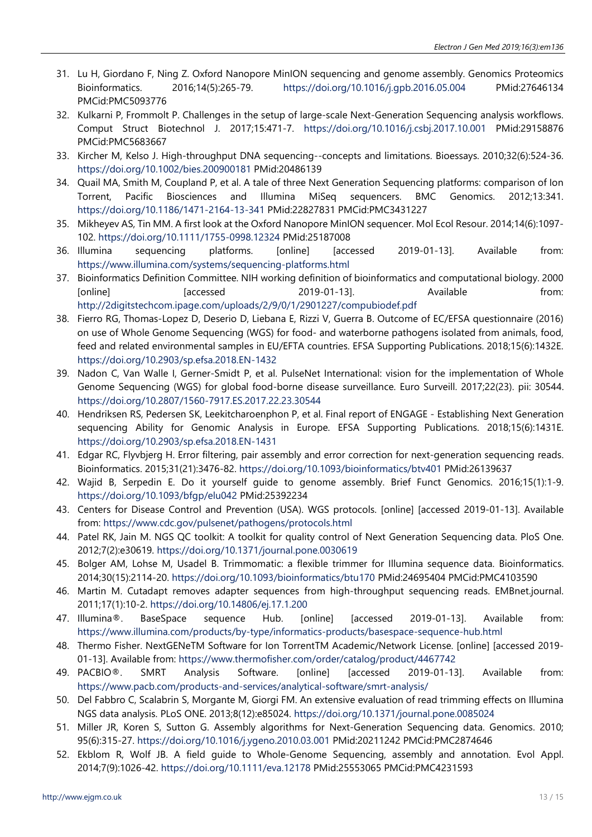- 31. Lu H, Giordano F, Ning Z. Oxford Nanopore MinION sequencing and genome assembly. Genomics Proteomics Bioinformatics. 2016;14(5):265-79. <https://doi.org/10.1016/j.gpb.2016.05.004> PMid:27646134 PMCid:PMC5093776
- 32. Kulkarni P, Frommolt P. Challenges in the setup of large-scale Next-Generation Sequencing analysis workflows. Comput Struct Biotechnol J. 2017;15:471-7. <https://doi.org/10.1016/j.csbj.2017.10.001> PMid:29158876 PMCid:PMC5683667
- 33. Kircher M, Kelso J. High-throughput DNA sequencing--concepts and limitations. Bioessays. 2010;32(6):524-36. <https://doi.org/10.1002/bies.200900181> PMid:20486139
- 34. Quail MA, Smith M, Coupland P, et al. A tale of three Next Generation Sequencing platforms: comparison of Ion Torrent, Pacific Biosciences and Illumina MiSeq sequencers. BMC Genomics. 2012;13:341. <https://doi.org/10.1186/1471-2164-13-341> PMid:22827831 PMCid:PMC3431227
- 35. Mikheyev AS, Tin MM. A first look at the Oxford Nanopore MinION sequencer. Mol Ecol Resour. 2014;14(6):1097- 102. <https://doi.org/10.1111/1755-0998.12324> PMid:25187008
- 36. Illumina sequencing platforms. [online] [accessed 2019-01-13]. Available from: <https://www.illumina.com/systems/sequencing-platforms.html>
- 37. Bioinformatics Definition Committee. NIH working definition of bioinformatics and computational biology. 2000 [online] Taccessed 2019-01-13]. Available from: <http://2digitstechcom.ipage.com/uploads/2/9/0/1/2901227/compubiodef.pdf>
- 38. Fierro RG, Thomas-Lopez D, Deserio D, Liebana E, Rizzi V, Guerra B. Outcome of EC/EFSA questionnaire (2016) on use of Whole Genome Sequencing (WGS) for food- and waterborne pathogens isolated from animals, food, feed and related environmental samples in EU/EFTA countries. EFSA Supporting Publications. 2018;15(6):1432E. <https://doi.org/10.2903/sp.efsa.2018.EN-1432>
- 39. Nadon C, Van Walle I, Gerner-Smidt P, et al. PulseNet International: vision for the implementation of Whole Genome Sequencing (WGS) for global food-borne disease surveillance. Euro Surveill. 2017;22(23). pii: 30544. <https://doi.org/10.2807/1560-7917.ES.2017.22.23.30544>
- 40. Hendriksen RS, Pedersen SK, Leekitcharoenphon P, et al. Final report of ENGAGE Establishing Next Generation sequencing Ability for Genomic Analysis in Europe. EFSA Supporting Publications. 2018;15(6):1431E. <https://doi.org/10.2903/sp.efsa.2018.EN-1431>
- 41. Edgar RC, Flyvbjerg H. Error filtering, pair assembly and error correction for next-generation sequencing reads. Bioinformatics. 2015;31(21):3476-82. <https://doi.org/10.1093/bioinformatics/btv401> PMid:26139637
- 42. Wajid B, Serpedin E. Do it yourself guide to genome assembly. Brief Funct Genomics. 2016;15(1):1-9. <https://doi.org/10.1093/bfgp/elu042> PMid:25392234
- 43. Centers for Disease Control and Prevention (USA). WGS protocols. [online] [accessed 2019-01-13]. Available from: <https://www.cdc.gov/pulsenet/pathogens/protocols.html>
- 44. Patel RK, Jain M. NGS QC toolkit: A toolkit for quality control of Next Generation Sequencing data. PloS One. 2012;7(2):e30619. <https://doi.org/10.1371/journal.pone.0030619>
- 45. Bolger AM, Lohse M, Usadel B. Trimmomatic: a flexible trimmer for Illumina sequence data. Bioinformatics. 2014;30(15):2114-20. <https://doi.org/10.1093/bioinformatics/btu170> PMid:24695404 PMCid:PMC4103590
- 46. Martin M. Cutadapt removes adapter sequences from high-throughput sequencing reads. EMBnet.journal. 2011;17(1):10-2. <https://doi.org/10.14806/ej.17.1.200>
- 47. Illumina®. BaseSpace sequence Hub. [online] [accessed 2019-01-13]. Available from: <https://www.illumina.com/products/by-type/informatics-products/basespace-sequence-hub.html>
- 48. Thermo Fisher. NextGENeTM Software for Ion TorrentTM Academic/Network License. [online] [accessed 2019- 01-13]. Available from: <https://www.thermofisher.com/order/catalog/product/4467742>
- 49. PACBIO®. SMRT Analysis Software. [online] [accessed 2019-01-13]. Available from: <https://www.pacb.com/products-and-services/analytical-software/smrt-analysis/>
- 50. Del Fabbro C, Scalabrin S, Morgante M, Giorgi FM. An extensive evaluation of read trimming effects on Illumina NGS data analysis. PLoS ONE. 2013;8(12):e85024. <https://doi.org/10.1371/journal.pone.0085024>
- 51. Miller JR, Koren S, Sutton G. Assembly algorithms for Next-Generation Sequencing data. Genomics. 2010; 95(6):315-27. <https://doi.org/10.1016/j.ygeno.2010.03.001> PMid:20211242 PMCid:PMC2874646
- 52. Ekblom R, Wolf JB. A field guide to Whole-Genome Sequencing, assembly and annotation. Evol Appl. 2014;7(9):1026-42. <https://doi.org/10.1111/eva.12178> PMid:25553065 PMCid:PMC4231593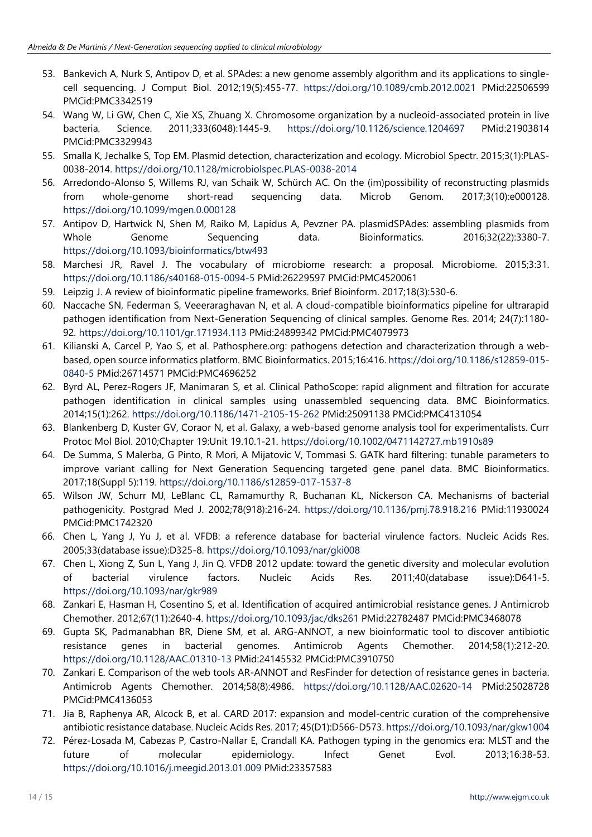- 53. Bankevich A, Nurk S, Antipov D, et al. SPAdes: a new genome assembly algorithm and its applications to singlecell sequencing. J Comput Biol. 2012;19(5):455-77. <https://doi.org/10.1089/cmb.2012.0021> PMid:22506599 PMCid:PMC3342519
- 54. Wang W, Li GW, Chen C, Xie XS, Zhuang X. Chromosome organization by a nucleoid-associated protein in live bacteria. Science. 2011;333(6048):1445-9. <https://doi.org/10.1126/science.1204697> PMid:21903814 PMCid:PMC3329943
- 55. Smalla K, Jechalke S, Top EM. Plasmid detection, characterization and ecology. Microbiol Spectr. 2015;3(1):PLAS-0038-2014. <https://doi.org/10.1128/microbiolspec.PLAS-0038-2014>
- 56. Arredondo-Alonso S, Willems RJ, van Schaik W, Schürch AC. On the (im)possibility of reconstructing plasmids from whole-genome short-read sequencing data. Microb Genom. 2017;3(10):e000128. <https://doi.org/10.1099/mgen.0.000128>
- 57. Antipov D, Hartwick N, Shen M, Raiko M, Lapidus A, Pevzner PA. plasmidSPAdes: assembling plasmids from Whole Genome Sequencing data. Bioinformatics. 2016;32(22):3380-7. <https://doi.org/10.1093/bioinformatics/btw493>
- 58. Marchesi JR, Ravel J. The vocabulary of microbiome research: a proposal. Microbiome. 2015;3:31. <https://doi.org/10.1186/s40168-015-0094-5> PMid:26229597 PMCid:PMC4520061
- 59. Leipzig J. A review of bioinformatic pipeline frameworks. Brief Bioinform. 2017;18(3):530-6.
- 60. Naccache SN, Federman S, Veeeraraghavan N, et al. A cloud-compatible bioinformatics pipeline for ultrarapid pathogen identification from Next-Generation Sequencing of clinical samples. Genome Res. 2014; 24(7):1180- 92. <https://doi.org/10.1101/gr.171934.113> PMid:24899342 PMCid:PMC4079973
- 61. Kilianski A, Carcel P, Yao S, et al. Pathosphere.org: pathogens detection and characterization through a webbased, open source informatics platform. BMC Bioinformatics. 2015;16:416. [https://doi.org/10.1186/s12859-015-](https://doi.org/10.1186/s12859-015-0840-5) [0840-5](https://doi.org/10.1186/s12859-015-0840-5) PMid:26714571 PMCid:PMC4696252
- 62. Byrd AL, Perez-Rogers JF, Manimaran S, et al. Clinical PathoScope: rapid alignment and filtration for accurate pathogen identification in clinical samples using unassembled sequencing data. BMC Bioinformatics. 2014;15(1):262. <https://doi.org/10.1186/1471-2105-15-262> PMid:25091138 PMCid:PMC4131054
- 63. Blankenberg D, Kuster GV, Coraor N, et al. Galaxy, a web-based genome analysis tool for experimentalists. Curr Protoc Mol Biol. 2010;Chapter 19:Unit 19.10.1-21. <https://doi.org/10.1002/0471142727.mb1910s89>
- 64. De Summa, S Malerba, G Pinto, R Mori, A Mijatovic V, Tommasi S. GATK hard filtering: tunable parameters to improve variant calling for Next Generation Sequencing targeted gene panel data. BMC Bioinformatics. 2017;18(Suppl 5):119. <https://doi.org/10.1186/s12859-017-1537-8>
- 65. Wilson JW, Schurr MJ, LeBlanc CL, Ramamurthy R, Buchanan KL, Nickerson CA. Mechanisms of bacterial pathogenicity. Postgrad Med J. 2002;78(918):216-24. <https://doi.org/10.1136/pmj.78.918.216> PMid:11930024 PMCid:PMC1742320
- 66. Chen L, Yang J, Yu J, et al. VFDB: a reference database for bacterial virulence factors. Nucleic Acids Res. 2005;33(database issue):D325-8. <https://doi.org/10.1093/nar/gki008>
- 67. Chen L, Xiong Z, Sun L, Yang J, Jin Q. VFDB 2012 update: toward the genetic diversity and molecular evolution of bacterial virulence factors. Nucleic Acids Res. 2011;40(database issue):D641-5. <https://doi.org/10.1093/nar/gkr989>
- 68. Zankari E, Hasman H, Cosentino S, et al. Identification of acquired antimicrobial resistance genes. J Antimicrob Chemother. 2012;67(11):2640-4. <https://doi.org/10.1093/jac/dks261> PMid:22782487 PMCid:PMC3468078
- 69. Gupta SK, Padmanabhan BR, Diene SM, et al. ARG-ANNOT, a new bioinformatic tool to discover antibiotic resistance genes in bacterial genomes. Antimicrob Agents Chemother. 2014;58(1):212-20. <https://doi.org/10.1128/AAC.01310-13> PMid:24145532 PMCid:PMC3910750
- 70. Zankari E. Comparison of the web tools AR-ANNOT and ResFinder for detection of resistance genes in bacteria. Antimicrob Agents Chemother. 2014;58(8):4986. <https://doi.org/10.1128/AAC.02620-14> PMid:25028728 PMCid:PMC4136053
- 71. Jia B, Raphenya AR, Alcock B, et al. CARD 2017: expansion and model-centric curation of the comprehensive antibiotic resistance database. Nucleic Acids Res. 2017; 45(D1):D566-D573. <https://doi.org/10.1093/nar/gkw1004>
- 72. Pérez-Losada M, Cabezas P, Castro-Nallar E, Crandall KA. Pathogen typing in the genomics era: MLST and the future of molecular epidemiology. Infect Genet Evol. 2013;16:38-53. <https://doi.org/10.1016/j.meegid.2013.01.009> PMid:23357583